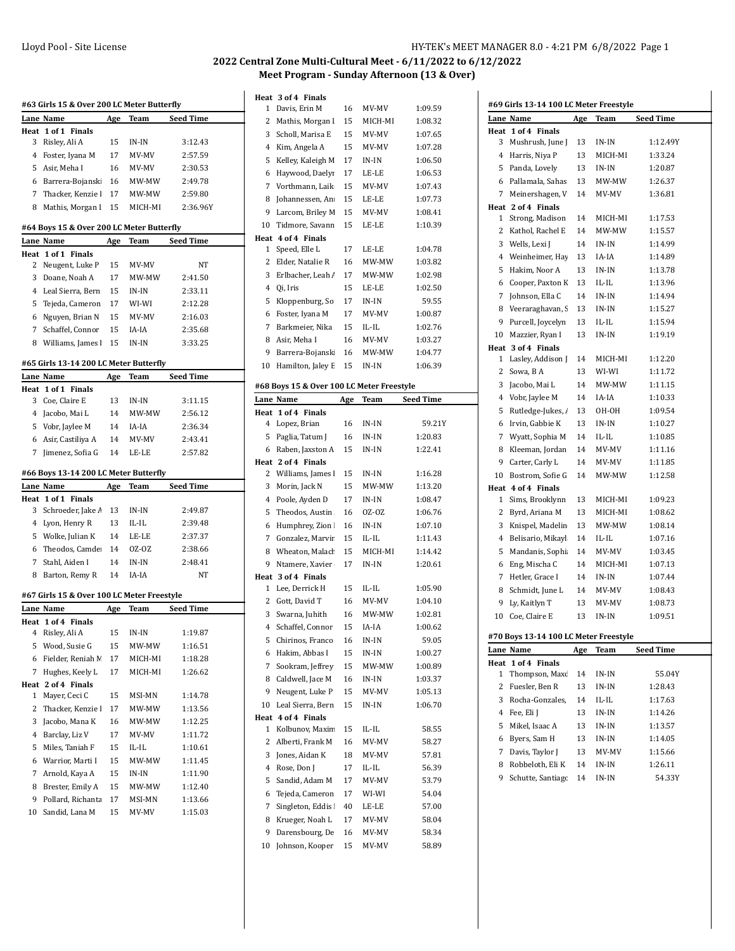|         | #63 Girls 15 & Over 200 LC Meter Butterfly |          |                 |                    |
|---------|--------------------------------------------|----------|-----------------|--------------------|
|         | Lane Name                                  | Age      | Team            | <b>Seed Time</b>   |
| Heat    | 1 of 1 Finals                              |          |                 |                    |
| 3       | Risley, Ali A                              | 15       | IN-IN           | 3:12.43            |
| 4       | Foster, Iyana M                            | 17       | MV-MV           | 2:57.59            |
| 5       | Asir, Meha I                               | 16       | MV-MV           | 2:30.53            |
| 6       | Barrera-Bojansk                            | 16       | MW-MW           | 2:49.78            |
| 7       | Thacker, Kenzie I                          | 17       | MW-MW           | 2:59.80            |
| 8       | Mathis, Morgan I                           | 15       | MICH-MI         | 2:36.96Y           |
|         | #64 Boys 15 & Over 200 LC Meter Butterfly  |          |                 |                    |
|         | Lane Name                                  | Age      | Team            | Seed Time          |
| Heat    | 1 of 1 Finals                              |          |                 |                    |
| 2       | Neugent, Luke P                            | 15       | MV-MV           | NΤ                 |
| 3       | Doane, Noah A                              | 17       | MW-MW           | 2:41.50            |
| 4       | Leal Sierra, Bern                          | 15       | IN-IN           | 2:33.11            |
| 5       | Tejeda, Cameron                            | 17       | WI-WI           | 2:12.28            |
| 6       | Nguyen, Brian N                            | 15       | MV-MV           | 2:16.03            |
| 7       | Schaffel, Connor                           | 15       | IA-IA           | 2:35.68            |
| 8       | Williams, James                            | 15       | IN-IN           | 3:33.25            |
|         | #65 Girls 13-14 200 LC Meter Butterfly     |          |                 |                    |
|         | Lane Name                                  | Age      | Team            | Seed Time          |
| Heat    | 1 of 1 Finals                              |          |                 |                    |
| 3       | Coe, Claire E                              | 13       | $IN-IN$         | 3:11.15            |
| 4       | Jacobo, Mai L                              | 14       | MW-MW           | 2:56.12            |
| 5       | Vobr, Jaylee M                             | 14       | IA-IA           | 2:36.34            |
| 6       | Asir, Castiliya A                          | 14       | MV-MV           | 2:43.41            |
| 7       | Jimenez, Sofia G                           | 14       | LE-LE           | 2:57.82            |
|         |                                            |          |                 |                    |
|         | #66 Boys 13-14 200 LC Meter Butterfly      |          |                 |                    |
|         | Lane Name                                  | Age      | Team            | Seed Time          |
|         |                                            |          |                 |                    |
| Heat    | 1 of 1 Finals                              |          |                 |                    |
| 3       | Schroeder, Jake /                          | 13       | IN-IN           | 2:49.87            |
| 4       | Lyon, Henry R                              | 13       | IL-IL           | 2:39.48            |
| 5       | Wolke, Julian K                            | 14       | LE-LE           | 2:37.37            |
| 6       | Theodos, Camde                             | 14       | OZ-OZ           | 2:38.66            |
| 7       | Stahl, Aiden I                             | 14       | IN-IN           | 2:48.41            |
| 8       | Barton, Remy R                             | 14       | IA-IA           | NT                 |
|         | #67 Girls 15 & Over 100 LC Meter Freestyle |          |                 |                    |
|         | Lane Name                                  | Age      | <b>Team</b>     | <b>Seed Time</b>   |
|         | Heat 1 of 4 Finals                         |          |                 |                    |
| 4       | Risley, Ali A                              | 15       | IN-IN           | 1:19.87            |
| 5       | Wood, Susie G                              | 15       | MW-MW           | 1:16.51            |
| 6       | Fielder, Reniah M                          | 17       | MICH-MI         | 1:18.28            |
| 7       | Hughes, Keely L                            | 17       | MICH-MI         | 1:26.62            |
|         | Heat 2 of 4 Finals                         |          |                 |                    |
| 1       | Mayer, Ceci C                              | 15       | MSI-MN          | 1:14.78            |
| 2       | Thacker, Kenzie l                          | 17       | MW-MW           | 1:13.56            |
| 3       | Jacobo, Mana K                             | 16       | MW-MW           | 1:12.25            |
| 4       | Barclay, Liz V                             | 17       | MV-MV           | 1:11.72            |
| 5       | Miles, Taniah F                            | 15       | IL-IL           | 1:10.61            |
| 6       | Warrior, Marti I                           | 15       | MW-MW           | 1:11.45            |
| 7       | Arnold, Kaya A                             | 15       | IN-IN           | 1:11.90            |
| 8       | Brester, Emily A                           | 15       | MW-MW           | 1:12.40            |
| 9<br>10 | Pollard, Richanta<br>Sandid, Lana M        | 17<br>15 | MSI-MN<br>MV-MV | 1:13.66<br>1:15.03 |

|                | Heat 3 of 4 Finals                        |          |                |                  |
|----------------|-------------------------------------------|----------|----------------|------------------|
| 1              | Davis, Erin M                             | 16       | MV-MV          | 1:09.59          |
| 2              | Mathis, Morgan I                          | 15       | MICH-MI        | 1:08.32          |
| 3              | Scholl, Marisa E                          | 15       | MV-MV          | 1:07.65          |
| 4              | Kim, Angela A                             | 15       | MV-MV          | 1:07.28          |
| 5              | Kelley, Kaleigh M                         | 17       | IN-IN          | 1:06.50          |
| 6              | Haywood, Daelyi                           | 17       | LE-LE          | 1:06.53          |
| 7              | Vorthmann, Laik                           | 15       | MV-MV          | 1:07.43          |
| 8              | Johannessen, An                           | 15       | LE-LE          | 1:07.73          |
| 9              | Larcom, Briley M                          | 15       | MV-MV          | 1:08.41          |
| 10             | Tidmore, Savann                           | 15       | LE-LE          | 1:10.39          |
| Heat           | 4 of 4 Finals                             |          |                |                  |
| 1              | Speed, Elle L                             | 17       | LE-LE          | 1:04.78          |
| 2              | Elder, Natalie R                          | 16       | MW-MW          | 1:03.82          |
| 3              | Erlbacher, Leah /                         | 17       | MW-MW          | 1:02.98          |
| 4              | Qi, Iris                                  | 15       | LE-LE          | 1:02.50          |
| 5              | Kloppenburg, So                           | 17       | IN-IN          | 59.55            |
| 6              | Foster, Iyana M                           | 17       | MV-MV          | 1:00.87          |
| 7              | Barkmeier, Nika                           | 15       | IL-IL          | 1:02.76          |
| 8              | Asir. Meha I                              | 16       | MV-MV          | 1:03.27          |
| 9              | Barrera-Bojansk                           | 16       | MW-MW          | 1:04.77          |
| 10             | Hamilton, Jaley E                         | 15       | IN-IN          | 1:06.39          |
|                | #68 Boys 15 & Over 100 LC Meter Freestyle |          |                |                  |
|                | Lane Name                                 | Age      | Team           | <b>Seed Time</b> |
| Heat           | 1 of 4 Finals                             |          |                |                  |
| 4              | Lopez, Brian                              | 16       | IN-IN          | 59.21Y           |
| 5              | Paglia, Tatum J                           | 16       | IN-IN          | 1:20.83          |
| 6              | Raben, Jaxston A                          | 15       | IN-IN          | 1:22.41          |
|                | Heat 2 of 4 Finals                        |          |                |                  |
| 2              | Williams, James I                         | 15       | IN-IN          | 1:16.28          |
|                |                                           |          |                |                  |
| 3              | Morin, Jack N                             | 15       | MW-MW          | 1:13.20          |
| 4              | Poole, Ayden D                            | 17       | IN-IN          | 1:08.47          |
| 5              | Theodos, Austin                           | 16       | OZ-OZ          | 1:06.76          |
| 6              | Humphrey, Zion                            | 16       | IN-IN          | 1:07.10          |
| 7              | Gonzalez, Marvir                          | 15       | IL-IL          | 1:11.43          |
| 8              | Wheaton, Malach                           | 15       | MICH-MI        | 1:14.42          |
| 9              | Ntamere, Xavier                           | 17       | IN-IN          | 1:20.61          |
|                | Heat 3 of 4 Finals                        |          |                |                  |
| 1              | Lee, Derrick H                            | 15       | IL-IL          | 1:05.90          |
| 2              | Gott, David T                             | 16       | MV-MV          | 1:04.10          |
| 3              | Swarna, Juhith                            | 16       | MW-MW          | 1:02.81          |
| $\overline{4}$ | Schaffel, Connor                          | 15       | IA-IA          | 1:00.62          |
| 5              | Chirinos, Franco                          | 16       | IN-IN          | 59.05            |
| 6              | Hakim, Abbas I                            | 15       | IN-IN          | 1:00.27          |
| 7              | Sookram, Jeffrey                          | 15       | MW-MW          | 1:00.89          |
| 8              | Caldwell, Jace M                          | 16       | IN-IN          | 1:03.37          |
| 9              | Neugent, Luke P                           | 15       | MV-MV          | 1:05.13          |
| 10             | Leal Sierra, Bern                         | 15       | IN-IN          | 1:06.70          |
|                | Heat 4 of 4 Finals                        |          |                |                  |
| 1              | Kolbunov, Maxim                           | 15       | IL-IL          | 58.55            |
| 2              | Alberti, Frank M                          | 16       | MV-MV          | 58.27            |
| 3              | Jones, Aidan K                            | 18       | MV-MV          | 57.81            |
| 4              | Rose, Don J                               | 17       | IL-IL          | 56.39            |
| 5              | Sandid, Adam M                            | 17       | MV-MV          | 53.79            |
| 6              | Tejeda, Cameron                           | 17       | WI-WI          | 54.04            |
| 7              | Singleton, Eddis                          | 40       | LE-LE          | 57.00            |
| 8              | Krueger, Noah L                           | 17       | MV-MV          | 58.04            |
| 9<br>10        | Darensbourg, De<br>Johnson, Kooper        | 16<br>15 | MV-MV<br>MV-MV | 58.34<br>58.89   |

|        | Lane Name                                          | Age        | Team    | <b>Seed Time</b> |
|--------|----------------------------------------------------|------------|---------|------------------|
|        | Heat 1 of 4 Finals                                 |            |         |                  |
| 3      | Mushrush, June J                                   | 13         | IN-IN   | 1:12.49Y         |
| 4      | Harris, Niya P                                     | 13         | MICH-MI | 1:33.24          |
| 5      | Panda, Lovely                                      | 13         | IN-IN   | 1:20.87          |
| 6      | Pallamala, Sahas                                   | 13         | MW-MW   | 1:26.37          |
| 7      | Meinershagen, V                                    | 14         | MV-MV   | 1:36.81          |
|        | Heat 2 of 4 Finals                                 |            |         |                  |
| 1      | Strong, Madison                                    | 14         | MICH-MI | 1:17.53          |
| 2      | Kathol, Rachel E                                   | 14         | MW-MW   | 1:15.57          |
| 3      | Wells, Lexi J                                      | 14         | $IN-IN$ | 1:14.99          |
| 4      | Weinheimer, Hay                                    | 13         | IA-IA   | 1:14.89          |
| 5      | Hakim, Noor A                                      | 13         | IN-IN   | 1:13.78          |
| 6      | Cooper, Paxton K                                   | 13         | IL-IL   | 1:13.96          |
| 7      | Johnson, Ella C                                    | 14         | IN-IN   | 1:14.94          |
| 8      | Veeraraghavan, S                                   | 13         | IN-IN   | 1:15.27          |
| 9      | Purcell, Joycelyn                                  | 13         | IL-IL   | 1:15.94          |
| 10     | Mazzier, Ryan I                                    | 13         | IN-IN   | 1:19.19          |
|        | Heat 3 of 4 Finals                                 |            |         |                  |
| 1      | Lasley, Addison J                                  | 14         | MICH-MI | 1:12.20          |
| 2      | Sowa, B A                                          | 13         | WI-WI   | 1:11.72          |
| 3      | Jacobo, Mai L                                      | 14         | MW-MW   | 1:11.15          |
| 4      | Vobr, Jaylee M                                     | 14         | IA-IA   | 1:10.33          |
| 5      | Rutledge-Jukes, /                                  | 13         | ОН-ОН   | 1:09.54          |
| 6      | Irvin, Gabbie K                                    | 13         | IN-IN   | 1:10.27          |
| 7      | Wyatt, Sophia M                                    | 14         | IL-IL   | 1:10.85          |
| 8      | Kleeman, Jordan                                    | 14         | MV-MV   | 1:11.16          |
| 9      | Carter, Carly L                                    | 14         | MV-MV   | 1:11.85          |
| 10     | Bostrom, Sofie G                                   | 14         | MW-MW   | 1:12.58          |
|        | Heat 4 of 4 Finals                                 |            |         |                  |
| 1      | Sims, Brooklynn                                    | 13         | MICH-MI | 1:09.23          |
| 2      | Byrd, Ariana M                                     | 13         | MICH-MI | 1:08.62          |
| 3      | Knispel, Madelin                                   | 13         | MW-MW   | 1:08.14          |
| 4      | Belisario, Mikayl                                  | 14         | IL-IL   | 1:07.16          |
| 5      | Mandanis, Sophi                                    | 14         | MV-MV   | 1:03.45          |
| 6      | Eng, Mischa C                                      | 14         | MICH-MI | 1:07.13          |
| 7      | Hetler, Grace I                                    | 14         | IN-IN   | 1:07.44          |
| 8      | Schmidt, June L                                    | 14         | MV-MV   | 1:08.43          |
| 9      | Ly, Kaitlyn T                                      | 13         | MV-MV   | 1:08.73          |
| 10     | Coe, Claire E                                      | 13         | IN-IN   | 1:09.51          |
|        |                                                    |            |         |                  |
|        | #70 Boys 13-14 100 LC Meter Freestyle<br>Lane Name | <u>Age</u> | Team    | Seed Time        |
|        | Heat 1 of 4 Finals                                 |            |         |                  |
| 1      | Thompson, Maxc                                     | 14         | IN-IN   | 55.04Y           |
| 2      | Fuesler, Ben R                                     | 13         | IN-IN   | 1:28.43          |
| 3      | Rocha-Gonzales,                                    | 14         | IL-IL   | 1:17.63          |
| 4      | Fee, Eli J                                         | 13         | IN-IN   | 1:14.26          |
| 5      | Mikel, Isaac A                                     | 13         | IN-IN   | 1:13.57          |
|        |                                                    |            |         |                  |
| 6      | Byers, Sam H                                       | 13         | IN-IN   | 1:14.05          |
| 7      | Davis, Taylor J                                    | 13         | MV-MV   | 1:15.66          |
|        | Robbeloth, Eli K                                   | 14         | IN-IN   | 1:26.11          |
| 8<br>9 | Schutte, Santiago                                  | 14         | $IN-IN$ | 54.33Y           |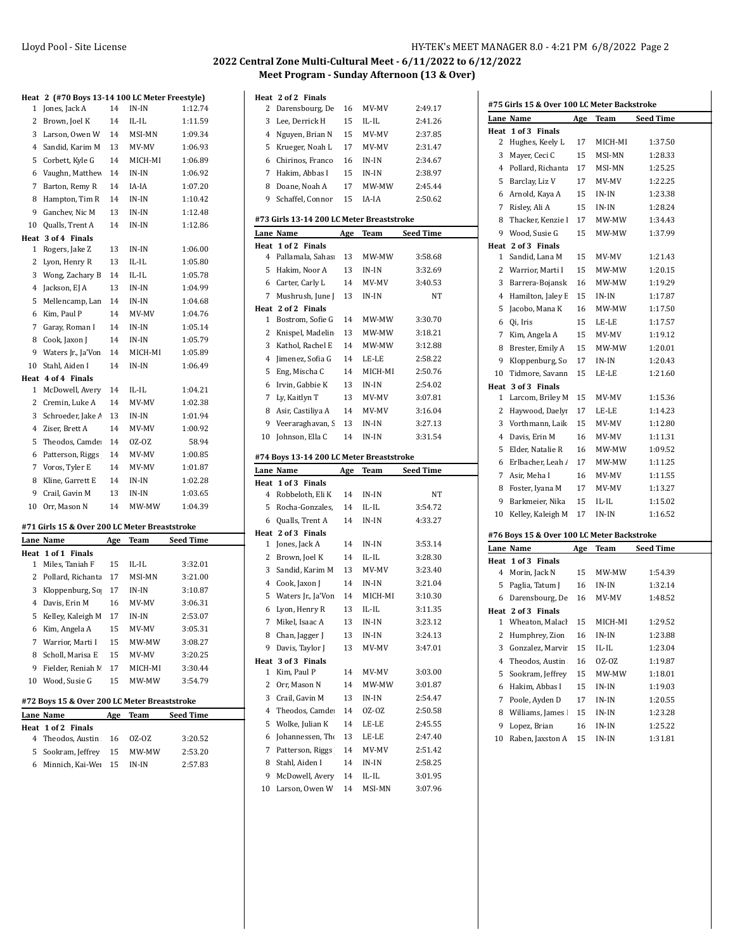| IY-TEK's MEET MANAGER 8.0 - 4:21 PM  6/8/2022  Page 2 |
|-------------------------------------------------------|
|-------------------------------------------------------|

| Heat      | 2 (#70 Boys 13-14 100 LC Meter Freestyle)     |     |             |                  |
|-----------|-----------------------------------------------|-----|-------------|------------------|
| 1         | Jones, Jack A                                 | 14  | IN-IN       | 1:12.74          |
| 2         | Brown, Joel K                                 | 14  | IL-IL       | 1:11.59          |
| 3         | Larson, Owen W                                | 14  | MSI-MN      | 1:09.34          |
| 4         | Sandid, Karim M                               | 13  | MV-MV       | 1:06.93          |
| 5         | Corbett, Kyle G                               | 14  | MICH-MI     | 1:06.89          |
| 6         | Vaughn, Matthev                               | 14  | IN-IN       | 1:06.92          |
| 7         | Barton, Remy R                                | 14  | IA-IA       | 1:07.20          |
| 8         | Hampton, Tim R                                | 14  | IN-IN       | 1:10.42          |
| 9         | Ganchev, Nic M                                | 13  | IN-IN       | 1:12.48          |
| 10        | Qualls, Trent A                               | 14  | IN-IN       | 1:12.86          |
| Heat      | 3 of 4 Finals                                 |     |             |                  |
| 1         | Rogers, Jake Z                                | 13  | $IN-IN$     | 1:06.00          |
| 2         | Lyon, Henry R                                 | 13  | IL-IL       | 1:05.80          |
| 3         | Wong, Zachary B                               | 14  | IL-IL       | 1:05.78          |
| 4         | Jackson, EJ A                                 | 13  | IN-IN       | 1:04.99          |
| 5         | Mellencamp, Lan                               | 14  | IN-IN       | 1:04.68          |
| 6         | Kim, Paul P                                   | 14  | MV-MV       | 1:04.76          |
| 7         | Garay, Roman I                                | 14  | IN-IN       | 1:05.14          |
| 8         | Cook, Jaxon J                                 | 14  | IN-IN       | 1:05.79          |
| 9         | Waters Jr., Ja'Von                            | 14  | MICH-MI     | 1:05.89          |
| 10        | Stahl, Aiden I                                | 14  | $IN-IN$     | 1:06.49          |
| Heat      | 4 of 4 Finals                                 |     |             |                  |
| 1         | McDowell, Avery                               | 14  | IL-IL       | 1:04.21          |
| 2         | Cremin, Luke A                                | 14  | MV-MV       | 1:02.38          |
| 3         | Schroeder, Jake /                             | 13  | IN-IN       | 1:01.94          |
| 4         | Ziser, Brett A                                | 14  | MV-MV       | 1:00.92          |
| 5         | Theodos, Camde                                | 14  | OZ-OZ       | 58.94            |
| 6         | Patterson, Riggs                              | 14  | MV-MV       | 1:00.85          |
| 7         | Voros, Tyler E                                | 14  | MV-MV       | 1:01.87          |
| 8         | Kline, Garrett E                              | 14  | IN-IN       | 1:02.28          |
| 9         | Crail, Gavin M                                | 13  | $IN-IN$     | 1:03.65          |
| 10        | Orr, Mason N                                  | 14  | MW-MW       | 1:04.39          |
|           |                                               |     |             |                  |
|           | #71 Girls 15 & Over 200 LC Meter Breaststroke |     |             |                  |
|           | Lane Name                                     | Age | Team        | <b>Seed Time</b> |
| Heat<br>1 | 1 of 1 Finals<br>Miles, Taniah F              | 15  | IL-IL       | 3:32.01          |
| 2         | Pollard, Richanta                             | 17  | MSI-MN      | 3:21.00          |
| 3         | Kloppenburg, So                               | 17  | IN-IN       | 3:10.87          |
| 4         | Davis, Erin M                                 | 16  | MV-MV       | 3:06.31          |
| 5         | Kelley, Kaleigh M                             | 17  | $IN-IN$     | 2:53.07          |
|           | 6 Kim, Angela A                               | 15  | MV-MV       | 3:05.31          |
| 7         | Warrior, Marti I                              | 15  | MW-MW       | 3:08.27          |
| 8         | Scholl, Marisa E                              | 15  | MV-MV       | 3:20.25          |
| 9         | Fielder, Reniah M                             | 17  | MICH-MI     | 3:30.44          |
|           | 10 Wood, Susie G                              | 15  | MW-MW       | 3:54.79          |
|           |                                               |     |             |                  |
|           | #72 Boys 15 & Over 200 LC Meter Breaststroke  |     |             |                  |
|           | Lane Name                                     | Age | <b>Team</b> | <b>Seed Time</b> |
| Heat      | 1 of 2<br><b>Finals</b>                       |     |             |                  |
| 4         | Theodos, Austin                               | 16  | 0Z-0Z       | 3:20.52          |
| 5         | Sookram, Jeffrey                              | 15  | MW-MW       | 2:53.20          |
| 6         | Minnich, Kai-We                               | 15  | $IN-IN$     | 2:57.83          |

| Heat    | 2 of 2 Finals                             |          |                 |                    |  |
|---------|-------------------------------------------|----------|-----------------|--------------------|--|
| 2       | Darensbourg, De                           | 16       | MV-MV           | 2:49.17            |  |
| 3       | Lee, Derrick H                            | 15       | IL-IL           | 2:41.26            |  |
| 4       | Nguyen, Brian N                           | 15       | MV-MV           | 2:37.85            |  |
| 5       | Krueger, Noah L                           | 17       | MV-MV           | 2:31.47            |  |
| 6       | Chirinos, Franco                          | 16       | IN-IN           | 2:34.67            |  |
| 7       | Hakim, Abbas I                            | 15       | IN-IN           | 2:38.97            |  |
| 8       | Doane, Noah A                             | 17       | MW-MW           | 2:45.44            |  |
| 9       | Schaffel, Connor                          | 15       | IA-IA           | 2:50.62            |  |
|         |                                           |          |                 |                    |  |
|         | #73 Girls 13-14 200 LC Meter Breaststroke |          |                 |                    |  |
|         | Lane Name                                 | Age      | Team            | Seed Time          |  |
| Heat    | 1 of 2 Finals                             |          |                 |                    |  |
| 4       | Pallamala, Sahas                          | 13       | MW-MW           | 3:58.68            |  |
| 5       | Hakim, Noor A                             | 13       | IN-IN           | 3:32.69            |  |
| 6       | Carter, Carly L                           | 14       | MV-MV           | 3:40.53            |  |
| 7       | Mushrush, June J                          | 13       | IN-IN           | NΤ                 |  |
|         | Heat 2 of 2 Finals                        |          |                 |                    |  |
| 1       | Bostrom, Sofie G                          | 14       | MW-MW           | 3:30.70            |  |
| 2       | Knispel, Madelin                          | 13       | MW-MW           | 3:18.21            |  |
| 3       | Kathol, Rachel E                          | 14       | MW-MW           | 3:12.88            |  |
| 4       | Jimenez, Sofia G                          | 14       | LE-LE           | 2:58.22            |  |
| 5       | Eng, Mischa C                             | 14       | MICH-MI         | 2:50.76            |  |
| 6       | Irvin, Gabbie K                           | 13       | $IN-IN$         | 2:54.02            |  |
| 7       | Ly, Kaitlyn T                             | 13       | MV-MV           | 3:07.81            |  |
| 8       | Asir, Castiliya A                         | 14       | MV-MV           | 3:16.04            |  |
| 9       | Veeraraghavan, S                          | 13       | IN-IN           | 3:27.13            |  |
| 10      | Johnson, Ella C                           | 14       | IN-IN           | 3:31.54            |  |
|         |                                           |          |                 |                    |  |
|         |                                           |          |                 |                    |  |
|         | #74 Boys 13-14 200 LC Meter Breaststroke  |          |                 |                    |  |
|         | Lane Name                                 | Age      | Team            | <b>Seed Time</b>   |  |
| Heat    | 1 of 3 Finals                             |          |                 |                    |  |
| 4       | Robbeloth, Eli K                          | 14       | IN-IN           | NΤ                 |  |
| 5       | Rocha-Gonzales,                           | 14       | IL-IL           | 3:54.72            |  |
| 6       | Qualls, Trent A                           | 14       | IN-IN           | 4:33.27            |  |
| Heat    | 2 of 3 Finals                             |          |                 |                    |  |
| 1       | Jones, Jack A                             | 14       | IN-IN           | 3:53.14            |  |
| 2       | Brown, Joel K                             | 14       | IL-IL           | 3:28.30            |  |
| 3       | Sandid, Karim M                           | 13       | MV-MV           | 3:23.40            |  |
| 4       | Cook, Jaxon J                             | 14       | IN-IN           | 3:21.04            |  |
| 5       | Waters Jr., Ja'Von                        | 14       | MICH-MI         | 3:10.30            |  |
| 6       | Lyon, Henry R                             | 13       | IL-IL           | 3:11.35            |  |
| 7       | Mikel, Isaac A                            | 13       | $IN-IN$         | 3:23.12            |  |
| 8       | Chan, Jagger J                            | 13       | IN-IN           | 3:24.13            |  |
| 9       | Davis, Taylor J                           | 13       | MV-MV           | 3:47.01            |  |
| Heat    | 3 of 3<br><b>Finals</b>                   |          |                 |                    |  |
| 1       | Kim, Paul P                               | 14       | MV-MV           | 3:03.00            |  |
| 2       | Orr, Mason N                              | 14       | MW-MW           | 3:01.87            |  |
| 3       | Crail, Gavin M                            | 13       | IN-IN           | 2:54.47            |  |
| 4       | Theodos, Camde                            | 14       | 0Z-OZ           | 2:50.58            |  |
| 5       | Wolke, Julian K                           | 14       | LE-LE           | 2:45.55            |  |
| 6       | Johannessen, The                          | 13       | LE-LE           | 2:47.40            |  |
| 7       | Patterson, Riggs                          | 14       | MV-MV           | 2:51.42            |  |
| 8       | Stahl, Aiden I                            | 14       | IN-IN           | 2:58.25            |  |
| 9<br>10 | McDowell, Avery<br>Larson, Owen W         | 14<br>14 | IL-IL<br>MSI-MN | 3:01.95<br>3:07.96 |  |

|    | #75 Girls 15 & Over 100 LC Meter Backstroke |            |         |           |
|----|---------------------------------------------|------------|---------|-----------|
|    | Lane Name                                   | Age        | Team    | Seed Time |
|    | Heat 1 of 3 Finals                          |            |         |           |
| 2  | Hughes, Keely L                             | 17         | MICH-MI | 1:37.50   |
| 3  | Mayer, Ceci C                               | 15         | MSI-MN  | 1:28.33   |
| 4  | Pollard, Richanta                           | 17         | MSI-MN  | 1:25.25   |
| 5  | Barclay, Liz V                              | 17         | MV-MV   | 1:22.25   |
| 6  | Arnold, Kaya A                              | 15         | IN-IN   | 1:23.38   |
| 7  | Risley, Ali A                               | 15         | IN-IN   | 1:28.24   |
| 8  | Thacker, Kenzie I                           | 17         | MW-MW   | 1:34.43   |
| 9  | Wood, Susie G                               | 15         | MW-MW   | 1:37.99   |
|    | Heat 2 of 3 Finals                          |            |         |           |
| 1  | Sandid, Lana M                              | 15         | MV-MV   | 1:21.43   |
| 2  | Warrior, Marti I                            | 15         | MW-MW   | 1:20.15   |
| 3  | Barrera-Bojansk                             | 16         | MW-MW   | 1:19.29   |
| 4  | Hamilton, Jaley E                           | 15         | $IN-IN$ | 1:17.87   |
| 5  | Jacobo, Mana K                              | 16         | MW-MW   | 1:17.50   |
| 6  | Qi, Iris                                    | 15         | LE-LE   | 1:17.57   |
| 7  | Kim, Angela A                               | 15         | MV-MV   | 1:19.12   |
| 8  | Brester, Emily A                            | 15         | MW-MW   | 1:20.01   |
| 9  | Kloppenburg, So                             | 17         | IN-IN   | 1:20.43   |
| 10 | Tidmore, Savann                             | 15         | LE-LE   | 1:21.60   |
|    | Heat 3 of 3 Finals                          |            |         |           |
| 1  | Larcom, Briley M                            | 15         | MV-MV   | 1:15.36   |
| 2  | Haywood, Daelyı                             | 17         | LE-LE   | 1:14.23   |
| 3  | Vorthmann, Laik                             | 15         | MV-MV   | 1:12.80   |
| 4  | Davis, Erin M                               | 16         | MV-MV   | 1:11.31   |
| 5  | Elder, Natalie R                            | 16         | MW-MW   | 1:09.52   |
| 6  | Erlbacher, Leah /                           | 17         | MW-MW   | 1:11.25   |
| 7  | Asir, Meha I                                | 16         | MV-MV   | 1:11.55   |
| 8  | Foster, Iyana M                             | 17         | MV-MV   | 1:13.27   |
| 9  | Barkmeier, Nika                             | 15         | IL-IL   | 1:15.02   |
| 10 | Kelley, Kaleigh M                           | 17         | IN-IN   | 1:16.52   |
|    |                                             |            |         |           |
|    | #76 Boys 15 & Over 100 LC Meter Backstroke  |            |         |           |
|    | Lane Name                                   | <u>Age</u> | Team    | Seed Time |
| 4  | Heat 1 of 3 Finals<br>Morin, Jack N         | 15         | MW-MW   | 1:54.39   |
| 5  | Paglia, Tatum J                             | 16         | IN-IN   | 1:32.14   |
| 6  | Darensbourg, De                             | 16         | MV-MV   | 1:48.52   |
|    | Heat 2 of 3 Finals                          |            |         |           |
| 1  | Wheaton, Malach                             | 15         | MICH-MI | 1:29.52   |
| 2  | Humphrey, Zion                              | 16         | IN-IN   | 1:23.88   |
| 3  | Gonzalez, Marvir                            | 15         | IL-IL   | 1:23.04   |
|    | Theodos, Austin                             |            | 0Z-0Z   |           |
| 4  |                                             | 16         |         | 1:19.87   |
| 5  | Sookram, Jeffrey                            | 15         | MW-MW   | 1:18.01   |
| 6  | Hakim, Abbas I                              | 15         | IN-IN   | 1:19.03   |
| 7  | Poole, Ayden D                              | 17         | IN-IN   | 1:20.55   |
| 8  | Williams, James !                           | 15         | IN-IN   | 1:23.28   |
|    | Lopez, Brian                                | 16         | IN-IN   | 1:25.22   |
| 9  |                                             |            |         |           |
| 10 | Raben, Jaxston A                            | 15         | IN-IN   | 1:31.81   |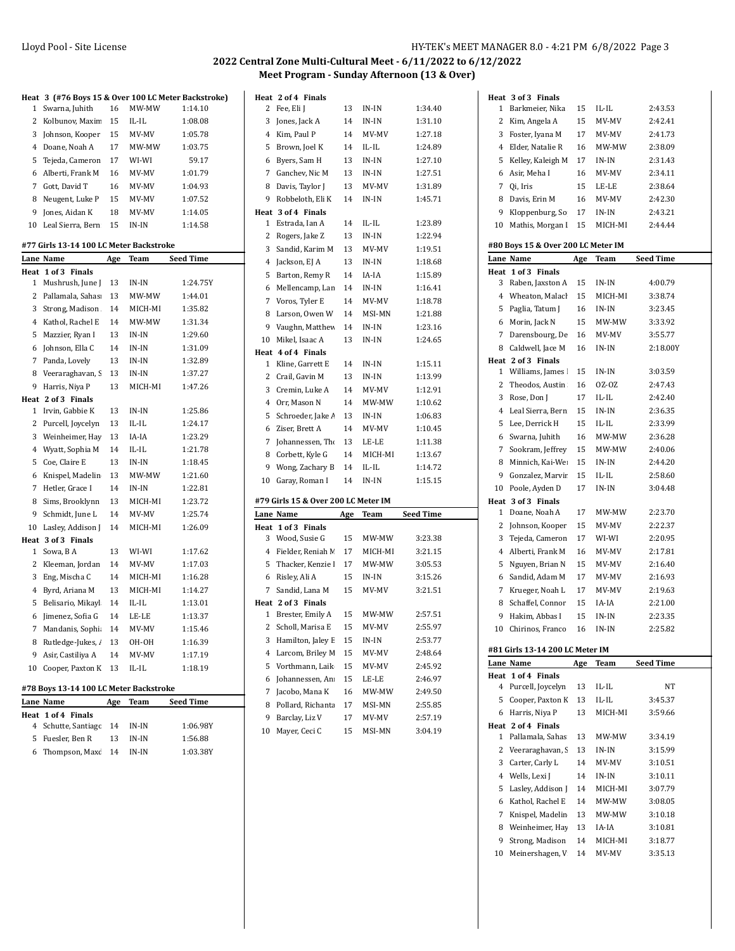13 IN-IN 1:34.40

**Heat 2 of 4 Finals**<br>2 Fee, Eli J

| Heat           |                                         |          |                  | 3 (#76 Boys 15 & Over 100 LC Meter Backstroke) |
|----------------|-----------------------------------------|----------|------------------|------------------------------------------------|
| 1              | Swarna, Juhith                          | 16       | MW-MW            | 1:14.10                                        |
| 2              | Kolbunov, Maxin                         | 15       | IL-IL            | 1:08.08                                        |
| 3              | Johnson, Kooper                         | 15       | MV-MV            | 1:05.78                                        |
| 4              | Doane, Noah A                           | 17       | MW-MW            | 1:03.75                                        |
| 5              | Tejeda, Cameron                         | 17       | WI-WI            | 59.17                                          |
| 6              | Alberti, Frank M                        | 16       | MV-MV            | 1:01.79                                        |
| 7              | Gott, David T                           | 16       | MV-MV            | 1:04.93                                        |
| 8              | Neugent, Luke P                         | 15       | MV-MV            | 1:07.52                                        |
| 9              | Jones, Aidan K                          | 18       | MV-MV            | 1:14.05                                        |
| 10             | Leal Sierra, Bern                       | 15       | IN-IN            | 1:14.58                                        |
|                |                                         |          |                  |                                                |
|                | #77 Girls 13-14 100 LC Meter Backstroke |          |                  |                                                |
|                | Lane Name                               | Age      | Team             | <b>Seed Time</b>                               |
| Heat           | $1$ of $3$<br><b>Finals</b>             | 13       |                  |                                                |
| 1<br>2         | Mushrush, June J                        | 13       | $IN-IN$<br>MW-MW | 1:24.75Y                                       |
|                | Pallamala, Sahas                        | 14       |                  | 1:44.01                                        |
| 3              | Strong, Madison                         |          | MICH-MI          | 1:35.82                                        |
| 4              | Kathol, Rachel E                        | 14       | MW-MW            | 1:31.34                                        |
| 5              | Mazzier, Ryan I                         | 13       | $IN-IN$          | 1:29.60                                        |
| 6              | Johnson, Ella C                         | 14       | IN-IN            | 1:31.09                                        |
| 7              | Panda, Lovely                           | 13       | $IN-IN$          | 1:32.89                                        |
| 8              | Veeraraghavan, S                        | 13       | $IN-IN$          | 1:37.27                                        |
| 9              | Harris, Niya P                          | 13       | MICH-MI          | 1:47.26                                        |
| Heat<br>1      | 2 of 3 Finals<br>Irvin, Gabbie K        | 13       | IN-IN            | 1:25.86                                        |
| 2              | Purcell, Joycelyn                       | 13       | $IL$ - $IL$      | 1:24.17                                        |
| 3              | Weinheimer, Hay                         | 13       | IA-IA            | 1:23.29                                        |
| 4              |                                         | 14       | $IL-IL$          | 1:21.78                                        |
| 5              | Wyatt, Sophia M<br>Coe, Claire E        | 13       | $IN-IN$          | 1:18.45                                        |
|                |                                         | 13       | MW-MW            | 1:21.60                                        |
| 6              | Knispel, Madelin                        |          |                  |                                                |
| 7              | Hetler, Grace I                         | 14       | IN-IN            | 1:22.81                                        |
| 8<br>9         | Sims, Brooklynn                         | 13       | MICH-MI          | 1:23.72<br>1:25.74                             |
| 10             | Schmidt, June L<br>Lasley, Addison J    | 14<br>14 | MV-MV<br>MICH-MI | 1:26.09                                        |
| Heat           | 3 of 3 Finals                           |          |                  |                                                |
| 1              | Sowa, B A                               | 13       | WI-WI            | 1:17.62                                        |
| 2              | Kleeman, Jordan                         | 14       | MV-MV            | 1:17.03                                        |
| 3              | Eng, Mischa C                           | 14       | MICH-MI          | 1:16.28                                        |
| $\overline{4}$ | Byrd, Ariana M                          | 13       | MICH-MI          | 1:14.27                                        |
| 5              | Belisario, Mikayl                       | 14       | IL-IL            | 1:13.01                                        |
| 6              | Jimenez, Sofia G                        | 14       | LE-LE            | 1:13.37                                        |
| 7              | Mandanis, Sophi                         | 14       | MV-MV            | 1:15.46                                        |
| 8              | Rutledge-Jukes, /                       | 13       | OH-OH            | 1:16.39                                        |
| 9              | Asir, Castiliya A                       | 14       | MV-MV            | 1:17.19                                        |
| 10             | Cooper, Paxton K                        | 13       | $IL$ - $IL$      | 1:18.19                                        |
|                |                                         |          |                  |                                                |
|                | #78 Boys 13-14 100 LC Meter Backstroke  |          |                  |                                                |

| $\pi$ / 0 DOVS 15 17 100 BC MCKI DACKSHOKC |     |       |                  |  |  |
|--------------------------------------------|-----|-------|------------------|--|--|
| Lane Name                                  | Age | Team  | <b>Seed Time</b> |  |  |
| Heat 1 of 4 Finals                         |     |       |                  |  |  |
| 4 Schutte, Santiage 14 IN-IN               |     |       | 1:06.98Y         |  |  |
| 5 Fuesler. Ben R                           | -13 | IN-IN | 1:56.88          |  |  |
| 6 Thompson, Maxc 14 IN-IN                  |     |       | 1:03.38Y         |  |  |
|                                            |     |       |                  |  |  |

| 3              | Jones, Jack A                       | 14  | IN-IN       | 1:31.10          |
|----------------|-------------------------------------|-----|-------------|------------------|
| 4              | Kim, Paul P                         | 14  | MV-MV       | 1:27.18          |
| 5              | Brown, Joel K                       | 14  | $IL$ - $IL$ | 1:24.89          |
| 6              | Byers, Sam H                        | 13  | $IN-IN$     | 1:27.10          |
| 7              | Ganchev, Nic M                      | 13  | IN-IN       | 1:27.51          |
| 8              | Davis, Taylor J                     | 13  | MV-MV       | 1:31.89          |
| 9              | Robbeloth, Eli K                    | 14  | $IN-IN$     | 1:45.71          |
| Heat           | 3 of 4 Finals                       |     |             |                  |
| 1              | Estrada, Ian A                      | 14  | IL-IL       | 1:23.89          |
| 2              | Rogers, Jake Z                      | 13  | $IN-IN$     | 1:22.94          |
| 3              | Sandid, Karim M                     | 13  | MV-MV       | 1:19.51          |
| 4              | Jackson, EJ A                       | 13  | IN-IN       | 1:18.68          |
| 5              | Barton, Remy R                      | 14  | IA-IA       | 1:15.89          |
| 6              | Mellencamp, Lan                     | 14  | IN-IN       | 1:16.41          |
| 7              | Voros, Tyler E                      | 14  | MV-MV       | 1:18.78          |
| 8              | Larson, Owen W                      | 14  | MSI-MN      | 1:21.88          |
| 9              | Vaughn, Matthev                     | 14  | IN-IN       | 1:23.16          |
| 10             | Mikel, Isaac A                      | 13  | IN-IN       | 1:24.65          |
| Heat           | 4 of 4 Finals                       |     |             |                  |
| 1              | Kline, Garrett E                    | 14  | IN-IN       | 1:15.11          |
| 2              | Crail, Gavin M                      | 13  | $IN-IN$     | 1:13.99          |
| 3              | Cremin, Luke A                      | 14  | MV-MV       | 1:12.91          |
| 4              | Orr. Mason N                        | 14  | MW-MW       | 1:10.62          |
| 5              | Schroeder, Jake A                   | 13  | IN-IN       | 1:06.83          |
| 6              | Ziser, Brett A                      | 14  | MV-MV       | 1:10.45          |
| 7              | Johannessen, The                    | 13  | LE-LE       | 1:11.38          |
| 8              | Corbett, Kyle G                     | 14  | MICH-MI     | 1:13.67          |
| 9              | Wong, Zachary B                     | 14  | $IL$ - $IL$ | 1:14.72          |
| 10             | Garay, Roman I                      | 14  | $IN-IN$     | 1:15.15          |
|                | #79 Girls 15 & Over 200 LC Meter IM |     |             |                  |
|                | Lane Name                           | Age | Team        | <b>Seed Time</b> |
| Heat           | 1 of 3 Finals                       |     |             |                  |
| 3              | Wood, Susie G                       | 15  | MW-MW       | 3:23.38          |
| 4              | Fielder, Reniah M                   | 17  | MICH-MI     | 3:21.15          |
| 5              | Thacker, Kenzie I                   | 17  | MW-MW       | 3:05.53          |
| 6              | Risley, Ali A                       | 15  | IN-IN       | 3:15.26          |
| 7              | Sandid, Lana M                      | 15  | MV-MV       | 3:21.51          |
| Heat           | 2 of 3 Finals                       |     |             |                  |
| $\mathbf{1}$   | Brester, Emily A                    | 15  | MW-MW       | 2:57.51          |
| 2              | Scholl, Marisa E                    | 15  | MV-MV       | 2:55.97          |
| 3              | Hamilton, Jaley E                   | 15  | IN-IN       | 2:53.77          |
| $\overline{4}$ | Larcom, Briley M                    | 15  | MV-MV       | 2:48.64          |
| 5              | Vorthmann, Laik                     | 15  | MV-MV       | 2:45.92          |
| 6              | Johannessen, An                     | 15  | LE-LE       | 2:46.97          |
| 7              | Jacobo, Mana K                      | 16  | MW-MW       | 2:49.50          |
| 8              | Pollard, Richanta                   | 17  | MSI-MN      | 2:55.85          |
|                |                                     |     |             |                  |
| 9              | Barclay, Liz V                      | 17  | MV-MV       | 2:57.19          |

|      | Heat 3 of 3 Finals                 |     |         |           |
|------|------------------------------------|-----|---------|-----------|
| 1    | Barkmeier, Nika                    | 15  | IL-IL   | 2:43.53   |
| 2    | Kim, Angela A                      | 15  | MV-MV   | 2:42.41   |
| 3    | Foster, Ivana M                    | 17  | MV-MV   | 2:41.73   |
| 4    | Elder, Natalie R                   | 16  | MW-MW   | 2:38.09   |
| 5    | Kelley, Kaleigh M                  | 17  | IN-IN   | 2:31.43   |
|      |                                    |     |         |           |
| 6    | Asir, Meha I                       | 16  | MV-MV   | 2:34.11   |
| 7    | Qi, Iris                           | 15  | LE-LE   | 2:38.64   |
| 8    | Davis, Erin M                      | 16  | MV-MV   | 2:42.30   |
| 9    | Kloppenburg, So                    | 17  | IN-IN   | 2:43.21   |
| 10   | Mathis, Morgan I                   | 15  | MICH-MI | 2:44.44   |
|      | #80 Boys 15 & Over 200 LC Meter IM |     |         |           |
|      | Lane Name                          | Age | Team    | Seed Time |
| Heat | 1 of 3 Finals                      |     |         |           |
| 3    | Raben, Jaxston A                   | 15  | IN-IN   | 4:00.79   |
| 4    | Wheaton, Malach                    | 15  | MICH-MI | 3:38.74   |
| 5    | Paglia, Tatum J                    | 16  | IN-IN   | 3:23.45   |
| 6    | Morin, Jack N                      | 15  | MW-MW   | 3:33.92   |
| 7    | Darensbourg, De                    | 16  | MV-MV   | 3:55.77   |
|      | Caldwell, Jace M                   | 16  | IN-IN   | 2:18.00Y  |
| 8    | Heat 2 of 3 Finals                 |     |         |           |
| 1    | Williams, James !                  | 15  | IN-IN   | 3:03.59   |
| 2    | Theodos, Austin                    | 16  | OZ-OZ   | 2:47.43   |
| 3    |                                    | 17  | IL-IL   | 2:42.40   |
|      | Rose, Don J                        |     |         |           |
| 4    | Leal Sierra, Bern                  | 15  | IN-IN   | 2:36.35   |
| 5    | Lee, Derrick H                     | 15  | IL-IL   | 2:33.99   |
| 6    | Swarna, Juhith                     | 16  | MW-MW   | 2:36.28   |
| 7    | Sookram, Jeffrey                   | 15  | MW-MW   | 2:40.06   |
| 8    | Minnich, Kai-We                    | 15  | IN-IN   | 2:44.20   |
| 9    | Gonzalez, Marvir                   | 15  | IL-IL   | 2:58.60   |
| 10   | Poole, Ayden D                     | 17  | IN-IN   | 3:04.48   |
|      | Heat 3 of 3 Finals                 |     |         |           |
| 1    | Doane, Noah A                      | 17  | MW-MW   | 2:23.70   |
| 2    | Johnson, Kooper                    | 15  | MV-MV   | 2:22.37   |
| 3    | Tejeda, Cameron                    | 17  | WI-WI   | 2:20.95   |
| 4    | Alberti, Frank M                   | 16  | MV-MV   | 2:17.81   |
| 5    | Nguyen, Brian N                    | 15  | MV-MV   | 2:16.40   |
| 6    | Sandid, Adam M                     | 17  | MV-MV   |           |
|      |                                    |     |         | 2:16.93   |
| 7    | Krueger, Noah L                    | 17  | MV-MV   | 2:19.63   |
| 8    | Schaffel, Connor                   | 15  | IA-IA   | 2:21.00   |
| 9    | Hakim, Abbas I                     | 15  | IN-IN   | 2:23.35   |
|      | 10 Chirinos, Franco                | 16  | IN-IN   | 2:25.82   |
|      |                                    |     |         |           |
|      | #81 Girls 13-14 200 LC Meter IM    |     |         |           |
|      | Lane Name                          | Age | Team    | Seed Time |
|      | Heat 1 of 4 Finals                 |     |         |           |
| 4    | Purcell, Joycelyn                  | 13  | IL-IL   | NΤ        |
| 5    | Cooper, Paxton K                   | 13  | IL-IL   | 3:45.37   |
| 6    | Harris, Niya P                     | 13  | MICH-MI | 3:59.66   |
|      | Heat 2 of 4 Finals                 |     |         |           |
| 1    | Pallamala, Sahas                   | 13  | MW-MW   | 3:34.19   |
| 2    | Veeraraghavan, S                   | 13  | $IN-IN$ | 3:15.99   |
| 3    | Carter, Carly L                    | 14  | MV-MV   | 3:10.51   |
| 4    | Wells, Lexi J                      | 14  | IN-IN   | 3:10.11   |
| 5    | Lasley, Addison J                  | 14  | MICH-MI | 3:07.79   |
| 6    | Kathol, Rachel E                   | 14  | MW-MW   | 3:08.05   |
| 7    | Knispel, Madelin                   | 13  | MW-MW   | 3:10.18   |
| 8    | Weinheimer, Hay                    | 13  | IA-IA   | 3:10.81   |
| 9    | Strong, Madison                    | 14  | MICH-MI | 3:18.77   |
| 10   | Meinershagen, V                    | 14  | MV-MV   | 3:35.13   |